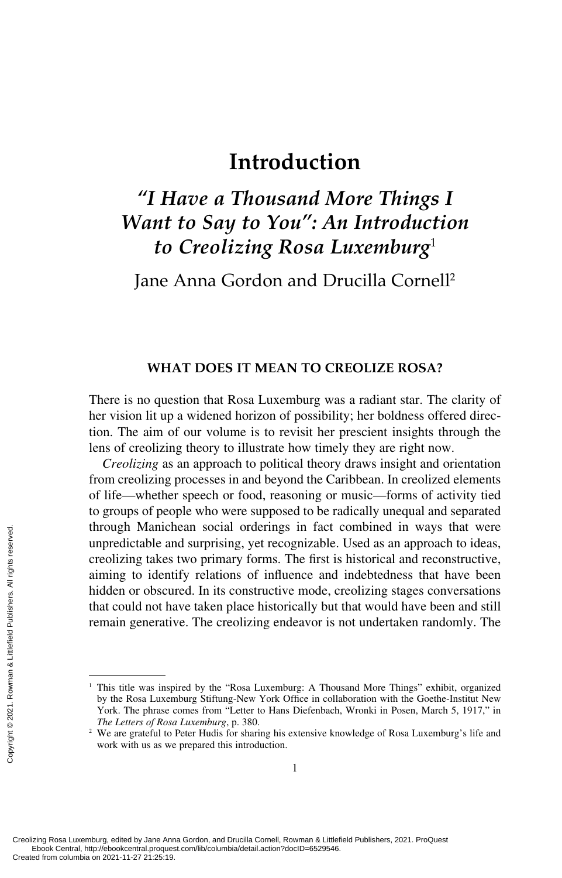# *"I Have a Thousand More Things I Want to Say to You": An Introduction to Creolizing Rosa Luxemburg*<sup>1</sup>

Jane Anna Gordon and Drucilla Cornell2

## **WHAT DOES IT MEAN TO CREOLIZE ROSA?**

There is no question that Rosa Luxemburg was a radiant star. The clarity of her vision lit up a widened horizon of possibility; her boldness offered direction. The aim of our volume is to revisit her prescient insights through the lens of creolizing theory to illustrate how timely they are right now.

*Creolizing* as an approach to political theory draws insight and orientation from creolizing processes in and beyond the Caribbean. In creolized elements of life—whether speech or food, reasoning or music—forms of activity tied to groups of people who were supposed to be radically unequal and separated through Manichean social orderings in fact combined in ways that were unpredictable and surprising, yet recognizable. Used as an approach to ideas, creolizing takes two primary forms. The first is historical and reconstructive, aiming to identify relations of influence and indebtedness that have been hidden or obscured. In its constructive mode, creolizing stages conversations that could not have taken place historically but that would have been and still remain generative. The creolizing endeavor is not undertaken randomly. The Creating Rosa Luxemburg, edited by Jane Andreated from columbia on 2021-11-27 21:25:19.<br>Creating Rosa Luxemburg, edited by Jane Andre Creating Rosa Luxemburg, edited by Jane Andre Creating Rosa Luxemburg, edited by Jane A

<sup>&</sup>lt;sup>1</sup> This title was inspired by the "Rosa Luxemburg: A Thousand More Things" exhibit, organized by the Rosa Luxemburg Stiftung-New York Office in collaboration with the Goethe-Institut New York. The phrase comes from "Letter to Hans Diefenbach, Wronki in Posen, March 5, 1917," in *The Letters of Rosa Luxemburg*, p. 380.

<sup>&</sup>lt;sup>2</sup> We are grateful to Peter Hudis for sharing his extensive knowledge of Rosa Luxemburg's life and work with us as we prepared this introduction.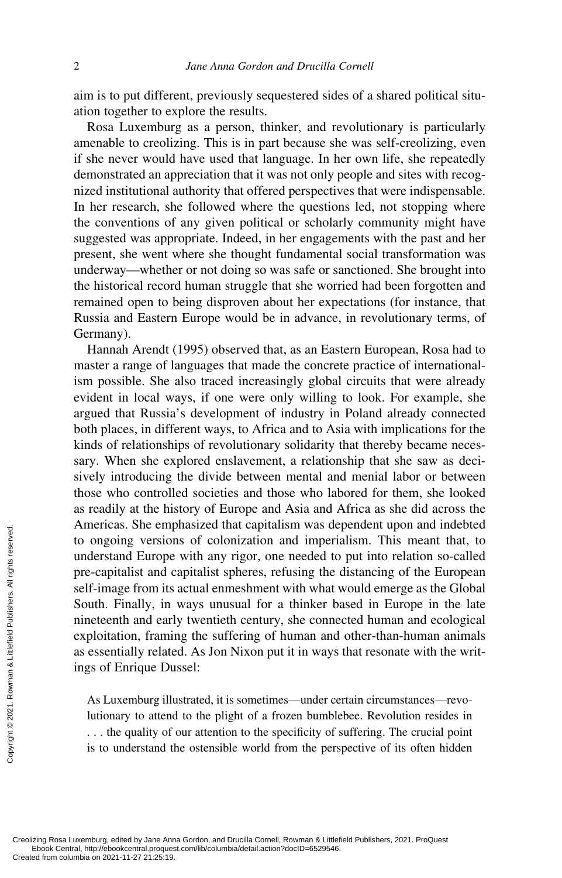aim is to put different, previously sequestered sides of a shared political situation together to explore the results.

Rosa Luxemburg as a person, thinker, and revolutionary is particularly amenable to creolizing. This is in part because she was self-creolizing, even if she never would have used that language. In her own life, she repeatedly demonstrated an appreciation that it was not only people and sites with recognized institutional authority that offered perspectives that were indispensable. In her research, she followed where the questions led, not stopping where the conventions of any given political or scholarly community might have suggested was appropriate. Indeed, in her engagements with the past and her present, she went where she thought fundamental social transformation was underway—whether or not doing so was safe or sanctioned. She brought into the historical record human struggle that she worried had been forgotten and remained open to being disproven about her expectations (for instance, that Russia and Eastern Europe would be in advance, in revolutionary terms, of Germany).

Hannah Arendt (1995) observed that, as an Eastern European, Rosa had to master a range of languages that made the concrete practice of internationalism possible. She also traced increasingly global circuits that were already evident in local ways, if one were only willing to look. For example, she argued that Russia's development of industry in Poland already connected both places, in different ways, to Africa and to Asia with implications for the kinds of relationships of revolutionary solidarity that thereby became necessary. When she explored enslavement, a relationship that she saw as decisively introducing the divide between mental and menial labor or between those who controlled societies and those who labored for them, she looked as readily at the history of Europe and Asia and Africa as she did across the Americas. She emphasized that capitalism was dependent upon and indebted to ongoing versions of colonization and imperialism. This meant that, to understand Europe with any rigor, one needed to put into relation so-called pre-capitalist and capitalist spheres, refusing the distancing of the European self-image from its actual enmeshment with what would emerge as the Global South. Finally, in ways unusual for a thinker based in Europe in the late nineteenth and early twentieth century, she connected human and ecological exploitation, framing the suffering of human and other-than-human animals as essentially related. As Jon Nixon put it in ways that resonate with the writings of Enrique Dussel: Proposed the columbia on 2021-11-27 21:25:19.<br>Created from columbia on 2021-11-27 21:25:19.<br>Created from columbia on 2021-11-27 21:25:19.<br>Created from columbia on 2021-11-27 21:25:19.

As Luxemburg illustrated, it is sometimes—under certain circumstances—revolutionary to attend to the plight of a frozen bumblebee. Revolution resides in . . . the quality of our attention to the specificity of suffering. The crucial point is to understand the ostensible world from the perspective of its often hidden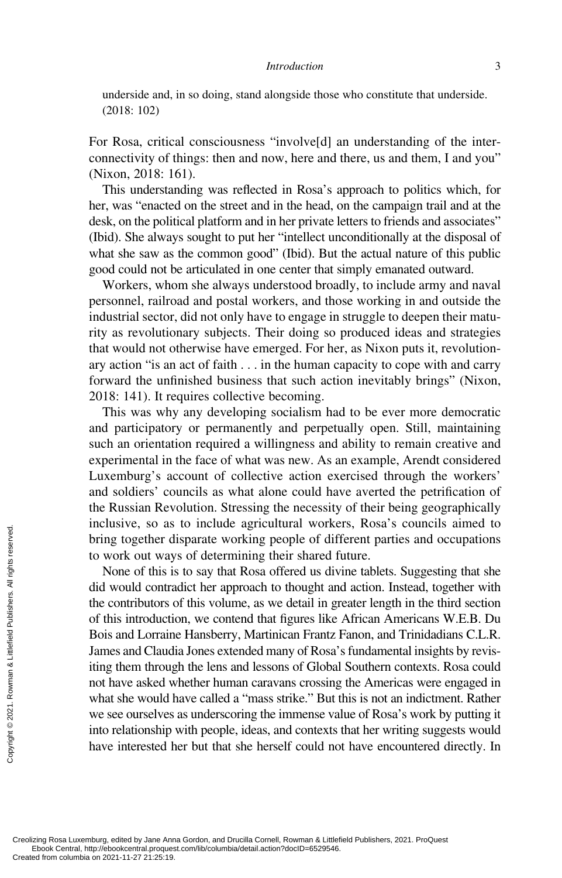underside and, in so doing, stand alongside those who constitute that underside. (2018: 102)

For Rosa, critical consciousness "involve[d] an understanding of the interconnectivity of things: then and now, here and there, us and them, I and you" (Nixon, 2018: 161).

This understanding was reflected in Rosa's approach to politics which, for her, was "enacted on the street and in the head, on the campaign trail and at the desk, on the political platform and in her private letters to friends and associates" (Ibid). She always sought to put her "intellect unconditionally at the disposal of what she saw as the common good" (Ibid). But the actual nature of this public good could not be articulated in one center that simply emanated outward.

Workers, whom she always understood broadly, to include army and naval personnel, railroad and postal workers, and those working in and outside the industrial sector, did not only have to engage in struggle to deepen their maturity as revolutionary subjects. Their doing so produced ideas and strategies that would not otherwise have emerged. For her, as Nixon puts it, revolutionary action "is an act of faith . . . in the human capacity to cope with and carry forward the unfinished business that such action inevitably brings" (Nixon, 2018: 141). It requires collective becoming.

This was why any developing socialism had to be ever more democratic and participatory or permanently and perpetually open. Still, maintaining such an orientation required a willingness and ability to remain creative and experimental in the face of what was new. As an example, Arendt considered Luxemburg's account of collective action exercised through the workers' and soldiers' councils as what alone could have averted the petrification of the Russian Revolution. Stressing the necessity of their being geographically inclusive, so as to include agricultural workers, Rosa's councils aimed to bring together disparate working people of different parties and occupations to work out ways of determining their shared future.

None of this is to say that Rosa offered us divine tablets. Suggesting that she did would contradict her approach to thought and action. Instead, together with the contributors of this volume, as we detail in greater length in the third section of this introduction, we contend that figures like African Americans W.E.B. Du Bois and Lorraine Hansberry, Martinican Frantz Fanon, and Trinidadians C.L.R. James and Claudia Jones extended many of Rosa's fundamental insights by revisiting them through the lens and lessons of Global Southern contexts. Rosa could not have asked whether human caravans crossing the Americas were engaged in what she would have called a "mass strike." But this is not an indictment. Rather we see ourselves as underscoring the immense value of Rosa's work by putting it into relationship with people, ideas, and contexts that her writing suggests would have interested her but that she herself could not have encountered directly. In Expediting to the contributors of this introduction of this introduction of this introduction of this introduction of this introduction of this introduction of this introduction of this introduction of this introduction of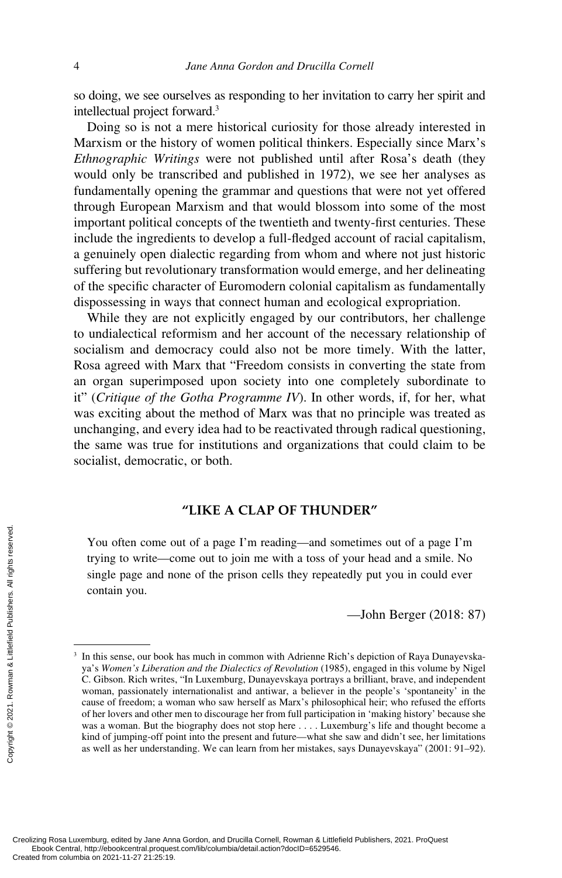so doing, we see ourselves as responding to her invitation to carry her spirit and intellectual project forward.3

Doing so is not a mere historical curiosity for those already interested in Marxism or the history of women political thinkers. Especially since Marx's *Ethnographic Writings* were not published until after Rosa's death (they would only be transcribed and published in 1972), we see her analyses as fundamentally opening the grammar and questions that were not yet offered through European Marxism and that would blossom into some of the most important political concepts of the twentieth and twenty-first centuries. These include the ingredients to develop a full-fledged account of racial capitalism, a genuinely open dialectic regarding from whom and where not just historic suffering but revolutionary transformation would emerge, and her delineating of the specific character of Euromodern colonial capitalism as fundamentally dispossessing in ways that connect human and ecological expropriation.

While they are not explicitly engaged by our contributors, her challenge to undialectical reformism and her account of the necessary relationship of socialism and democracy could also not be more timely. With the latter, Rosa agreed with Marx that "Freedom consists in converting the state from an organ superimposed upon society into one completely subordinate to it" (*Critique of the Gotha Programme IV*). In other words, if, for her, what was exciting about the method of Marx was that no principle was treated as unchanging, and every idea had to be reactivated through radical questioning, the same was true for institutions and organizations that could claim to be socialist, democratic, or both.

## **"LIKE A CLAP OF THUNDER"**

You often come out of a page I'm reading—and sometimes out of a page I'm trying to write—come out to join me with a toss of your head and a smile. No single page and none of the prison cells they repeatedly put you in could ever contain you.

—John Berger (2018: 87)

<sup>&</sup>lt;sup>3</sup> In this sense, our book has much in common with Adrienne Rich's depiction of Raya Dunayevskaya's *Women's Liberation and the Dialectics of Revolution* (1985), engaged in this volume by Nigel C. Gibson. Rich writes, "In Luxemburg, Dunayevskaya portrays a brilliant, brave, and independent woman, passionately internationalist and antiwar, a believer in the people's 'spontaneity' in the cause of freedom; a woman who saw herself as Marx's philosophical heir; who refused the efforts of her lovers and other men to discourage her from full participation in 'making history' because she was a woman. But the biography does not stop here . . . . Luxemburg's life and thought become a kind of jumping-off point into the present and future—what she saw and didn't see, her limitations as well as her understanding. We can learn from her mistakes, says Dunayevskaya" (2001: 91–92). From columbia on 2021-11-27 21:25:19.<br>Created from columbia on 2021-11-27 21:25:19.<br>Created from columbia on 2021-11-27 21:25:19.<br>Created from columbia on 2021-11-27 21:25:19.<br>Created from columbia on 2021-11-27 21:25:19.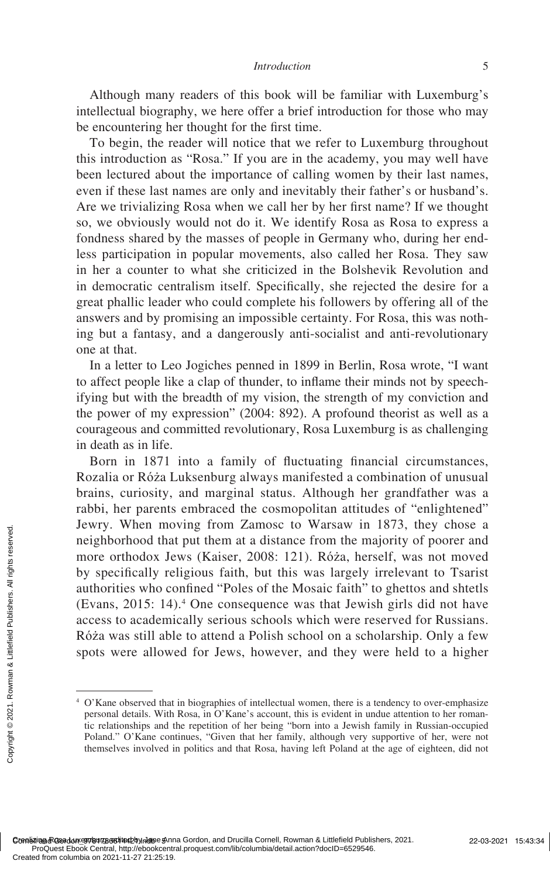Although many readers of this book will be familiar with Luxemburg's intellectual biography, we here offer a brief introduction for those who may be encountering her thought for the first time.

To begin, the reader will notice that we refer to Luxemburg throughout this introduction as "Rosa." If you are in the academy, you may well have been lectured about the importance of calling women by their last names, even if these last names are only and inevitably their father's or husband's. Are we trivializing Rosa when we call her by her first name? If we thought so, we obviously would not do it. We identify Rosa as Rosa to express a fondness shared by the masses of people in Germany who, during her endless participation in popular movements, also called her Rosa. They saw in her a counter to what she criticized in the Bolshevik Revolution and in democratic centralism itself. Specifically, she rejected the desire for a great phallic leader who could complete his followers by offering all of the answers and by promising an impossible certainty. For Rosa, this was nothing but a fantasy, and a dangerously anti-socialist and anti-revolutionary one at that.

In a letter to Leo Jogiches penned in 1899 in Berlin, Rosa wrote, "I want to affect people like a clap of thunder, to inflame their minds not by speechifying but with the breadth of my vision, the strength of my conviction and the power of my expression" (2004: 892). A profound theorist as well as a courageous and committed revolutionary, Rosa Luxemburg is as challenging in death as in life.

Born in 1871 into a family of fluctuating financial circumstances, Rozalia or Róża Luksenburg always manifested a combination of unusual brains, curiosity, and marginal status. Although her grandfather was a rabbi, her parents embraced the cosmopolitan attitudes of "enlightened" Jewry. When moving from Zamosc to Warsaw in 1873, they chose a neighborhood that put them at a distance from the majority of poorer and more orthodox Jews (Kaiser, 2008: 121). Róża, herself, was not moved by specifically religious faith, but this was largely irrelevant to Tsarist authorities who confined "Poles of the Mosaic faith" to ghettos and shtetls (Evans, 2015: 14).4 One consequence was that Jewish girls did not have access to academically serious schools which were reserved for Russians. Róża was still able to attend a Polish school on a scholarship. Only a few spots were allowed for Jews, however, and they were held to a higher Created from columbia on 2021-11-27 21:25:19.<br>Created from columbia on 2021-11-27 21:25:19.<br>Created from columbia on 2021-11-27 21:25:19.<br>Created from columbia on 2021-11-27 21:25:19.

<sup>4</sup> O'Kane observed that in biographies of intellectual women, there is a tendency to over-emphasize personal details. With Rosa, in O'Kane's account, this is evident in undue attention to her romantic relationships and the repetition of her being "born into a Jewish family in Russian-occupied Poland." O'Kane continues, "Given that her family, although very supportive of her, were not themselves involved in politics and that Rosa, having left Poland at the age of eighteen, did not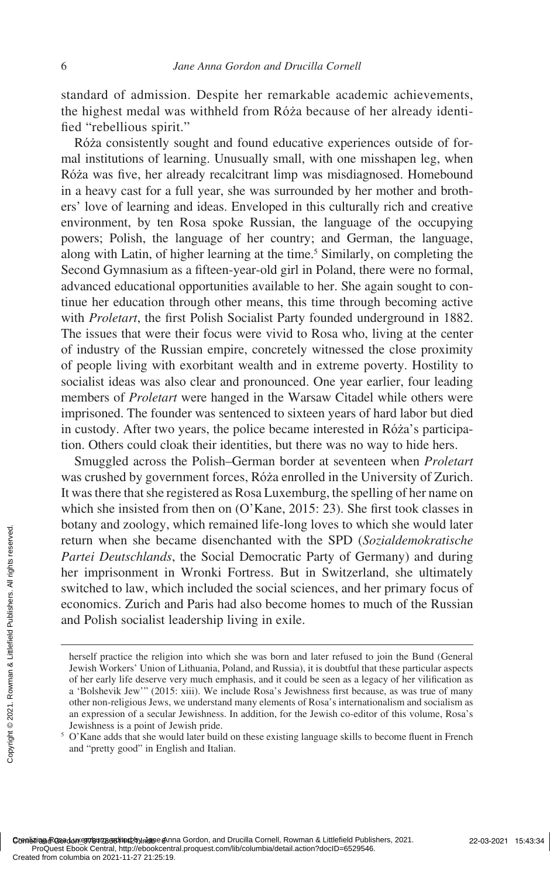standard of admission. Despite her remarkable academic achievements, the highest medal was withheld from Róża because of her already identified "rebellious spirit."

Róża consistently sought and found educative experiences outside of formal institutions of learning. Unusually small, with one misshapen leg, when Róża was five, her already recalcitrant limp was misdiagnosed. Homebound in a heavy cast for a full year, she was surrounded by her mother and brothers' love of learning and ideas. Enveloped in this culturally rich and creative environment, by ten Rosa spoke Russian, the language of the occupying powers; Polish, the language of her country; and German, the language, along with Latin, of higher learning at the time.<sup>5</sup> Similarly, on completing the Second Gymnasium as a fifteen-year-old girl in Poland, there were no formal, advanced educational opportunities available to her. She again sought to continue her education through other means, this time through becoming active with *Proletart*, the first Polish Socialist Party founded underground in 1882. The issues that were their focus were vivid to Rosa who, living at the center of industry of the Russian empire, concretely witnessed the close proximity of people living with exorbitant wealth and in extreme poverty. Hostility to socialist ideas was also clear and pronounced. One year earlier, four leading members of *Proletart* were hanged in the Warsaw Citadel while others were imprisoned. The founder was sentenced to sixteen years of hard labor but died in custody. After two years, the police became interested in Róża's participation. Others could cloak their identities, but there was no way to hide hers.

Smuggled across the Polish–German border at seventeen when *Proletart* was crushed by government forces, Róża enrolled in the University of Zurich. It was there that she registered as Rosa Luxemburg, the spelling of her name on which she insisted from then on (O'Kane, 2015: 23). She first took classes in botany and zoology, which remained life-long loves to which she would later return when she became disenchanted with the SPD (*Sozialdemokratische Partei Deutschlands*, the Social Democratic Party of Germany) and during her imprisonment in Wronki Fortress. But in Switzerland, she ultimately switched to law, which included the social sciences, and her primary focus of economics. Zurich and Paris had also become homes to much of the Russian and Polish socialist leadership living in exile. Created from columbia on 2021-11-27 21:25:19.<br>
Created from columbia on 2021-11-27 21:25:19.<br>
Created from columbia on 2021-11-27 21:25:19.<br>
Created from columbia on 2021-11-27 21:25:19.<br>
Created from columbia on 2021-11-

herself practice the religion into which she was born and later refused to join the Bund (General Jewish Workers' Union of Lithuania, Poland, and Russia), it is doubtful that these particular aspects of her early life deserve very much emphasis, and it could be seen as a legacy of her vilification as a 'Bolshevik Jew'" (2015: xiii). We include Rosa's Jewishness first because, as was true of many other non-religious Jews, we understand many elements of Rosa's internationalism and socialism as an expression of a secular Jewishness. In addition, for the Jewish co-editor of this volume, Rosa's Jewishness is a point of Jewish pride.

<sup>&</sup>lt;sup>5</sup> O'Kane adds that she would later build on these existing language skills to become fluent in French and "pretty good" in English and Italian.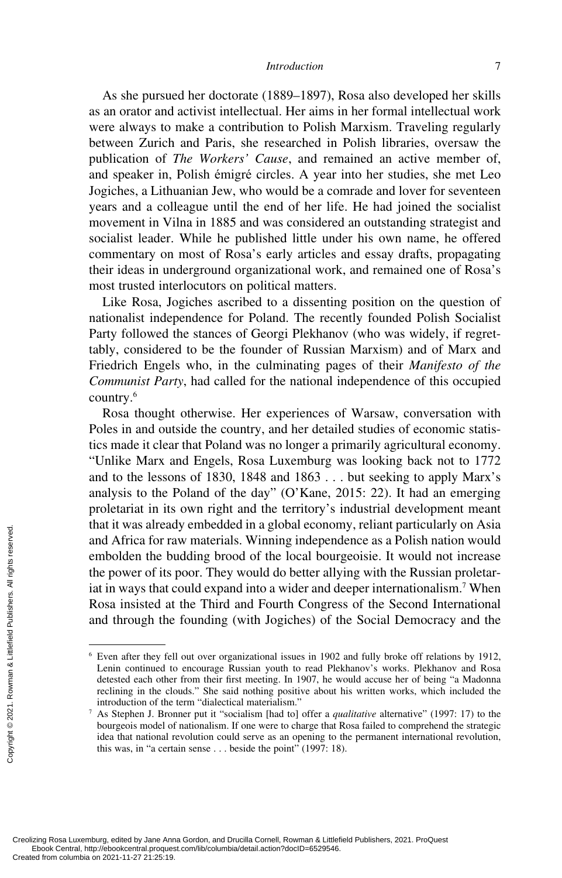As she pursued her doctorate (1889–1897), Rosa also developed her skills as an orator and activist intellectual. Her aims in her formal intellectual work were always to make a contribution to Polish Marxism. Traveling regularly between Zurich and Paris, she researched in Polish libraries, oversaw the publication of *The Workers' Cause*, and remained an active member of, and speaker in, Polish émigré circles. A year into her studies, she met Leo Jogiches, a Lithuanian Jew, who would be a comrade and lover for seventeen years and a colleague until the end of her life. He had joined the socialist movement in Vilna in 1885 and was considered an outstanding strategist and socialist leader. While he published little under his own name, he offered commentary on most of Rosa's early articles and essay drafts, propagating their ideas in underground organizational work, and remained one of Rosa's most trusted interlocutors on political matters.

Like Rosa, Jogiches ascribed to a dissenting position on the question of nationalist independence for Poland. The recently founded Polish Socialist Party followed the stances of Georgi Plekhanov (who was widely, if regrettably, considered to be the founder of Russian Marxism) and of Marx and Friedrich Engels who, in the culminating pages of their *Manifesto of the Communist Party*, had called for the national independence of this occupied country.6

Rosa thought otherwise. Her experiences of Warsaw, conversation with Poles in and outside the country, and her detailed studies of economic statistics made it clear that Poland was no longer a primarily agricultural economy. "Unlike Marx and Engels, Rosa Luxemburg was looking back not to 1772 and to the lessons of 1830, 1848 and 1863 . . . but seeking to apply Marx's analysis to the Poland of the day" (O'Kane, 2015: 22). It had an emerging proletariat in its own right and the territory's industrial development meant that it was already embedded in a global economy, reliant particularly on Asia and Africa for raw materials. Winning independence as a Polish nation would embolden the budding brood of the local bourgeoisie. It would not increase the power of its poor. They would do better allying with the Russian proletariat in ways that could expand into a wider and deeper internationalism.7 When Rosa insisted at the Third and Fourth Congress of the Second International and through the founding (with Jogiches) of the Social Democracy and the Exerces and Africa for radius of the power of its<br>
int in ways that component of the power of its<br>
int in ways that component of the power of its<br>
and through the<br>  $\frac{1}{2}$ <br>  $\frac{1}{2}$ <br>  $\frac{1}{2}$ <br>  $\frac{1}{2}$ <br>  $\frac{1}{2}$ <br>  $\$ 

<sup>6</sup> Even after they fell out over organizational issues in 1902 and fully broke off relations by 1912, Lenin continued to encourage Russian youth to read Plekhanov's works. Plekhanov and Rosa detested each other from their first meeting. In 1907, he would accuse her of being "a Madonna reclining in the clouds." She said nothing positive about his written works, which included the introduction of the term "dialectical materialism."

<sup>7</sup> As Stephen J. Bronner put it "socialism [had to] offer a *qualitative* alternative" (1997: 17) to the bourgeois model of nationalism. If one were to charge that Rosa failed to comprehend the strategic idea that national revolution could serve as an opening to the permanent international revolution, this was, in "a certain sense . . . beside the point" (1997: 18).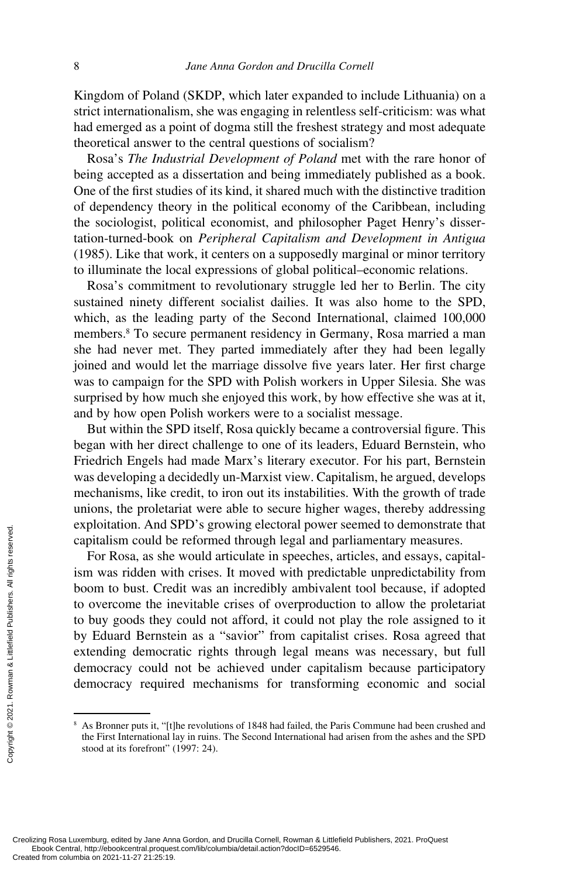Kingdom of Poland (SKDP, which later expanded to include Lithuania) on a strict internationalism, she was engaging in relentless self-criticism: was what had emerged as a point of dogma still the freshest strategy and most adequate theoretical answer to the central questions of socialism?

Rosa's *The Industrial Development of Poland* met with the rare honor of being accepted as a dissertation and being immediately published as a book. One of the first studies of its kind, it shared much with the distinctive tradition of dependency theory in the political economy of the Caribbean, including the sociologist, political economist, and philosopher Paget Henry's dissertation-turned-book on *Peripheral Capitalism and Development in Antigua* (1985). Like that work, it centers on a supposedly marginal or minor territory to illuminate the local expressions of global political–economic relations.

Rosa's commitment to revolutionary struggle led her to Berlin. The city sustained ninety different socialist dailies. It was also home to the SPD, which, as the leading party of the Second International, claimed 100,000 members.<sup>8</sup> To secure permanent residency in Germany, Rosa married a man she had never met. They parted immediately after they had been legally joined and would let the marriage dissolve five years later. Her first charge was to campaign for the SPD with Polish workers in Upper Silesia. She was surprised by how much she enjoyed this work, by how effective she was at it, and by how open Polish workers were to a socialist message.

But within the SPD itself, Rosa quickly became a controversial figure. This began with her direct challenge to one of its leaders, Eduard Bernstein, who Friedrich Engels had made Marx's literary executor. For his part, Bernstein was developing a decidedly un-Marxist view. Capitalism, he argued, develops mechanisms, like credit, to iron out its instabilities. With the growth of trade unions, the proletariat were able to secure higher wages, thereby addressing exploitation. And SPD's growing electoral power seemed to demonstrate that capitalism could be reformed through legal and parliamentary measures.

For Rosa, as she would articulate in speeches, articles, and essays, capitalism was ridden with crises. It moved with predictable unpredictability from boom to bust. Credit was an incredibly ambivalent tool because, if adopted to overcome the inevitable crises of overproduction to allow the proletariat to buy goods they could not afford, it could not play the role assigned to it by Eduard Bernstein as a "savior" from capitalist crises. Rosa agreed that extending democratic rights through legal means was necessary, but full democracy could not be achieved under capitalism because participatory democracy required mechanisms for transforming economic and social Exprediction: And Scapitalism could be<br>
For Rosa, as she<br>
is m was ridden with<br>
boom to bust. Crec<br>
to overcome the in<br>
to buy goods they<br>
by Eduard Bernste<br>
extending democracy<br>
democracy could<br>
democracy require<br>
democr

<sup>8</sup> As Bronner puts it, "[t]he revolutions of 1848 had failed, the Paris Commune had been crushed and the First International lay in ruins. The Second International had arisen from the ashes and the SPD stood at its forefront" (1997: 24).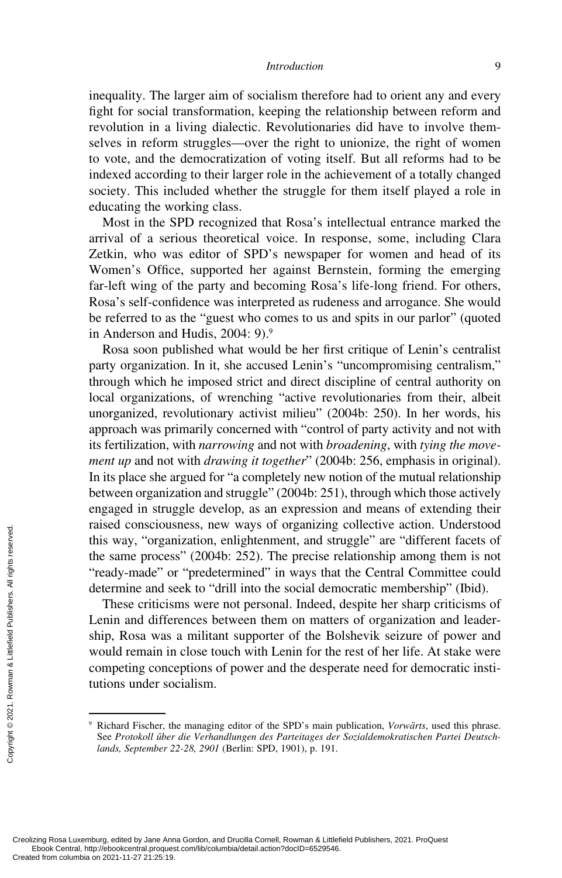inequality. The larger aim of socialism therefore had to orient any and every fight for social transformation, keeping the relationship between reform and revolution in a living dialectic. Revolutionaries did have to involve themselves in reform struggles—over the right to unionize, the right of women to vote, and the democratization of voting itself. But all reforms had to be indexed according to their larger role in the achievement of a totally changed society. This included whether the struggle for them itself played a role in educating the working class.

Most in the SPD recognized that Rosa's intellectual entrance marked the arrival of a serious theoretical voice. In response, some, including Clara Zetkin, who was editor of SPD's newspaper for women and head of its Women's Office, supported her against Bernstein, forming the emerging far-left wing of the party and becoming Rosa's life-long friend. For others, Rosa's self-confidence was interpreted as rudeness and arrogance. She would be referred to as the "guest who comes to us and spits in our parlor" (quoted in Anderson and Hudis, 2004: 9).<sup>9</sup>

Rosa soon published what would be her first critique of Lenin's centralist party organization. In it, she accused Lenin's "uncompromising centralism," through which he imposed strict and direct discipline of central authority on local organizations, of wrenching "active revolutionaries from their, albeit unorganized, revolutionary activist milieu" (2004b: 250). In her words, his approach was primarily concerned with "control of party activity and not with its fertilization, with *narrowing* and not with *broadening*, with *tying the movement up* and not with *drawing it together*" (2004b: 256, emphasis in original). In its place she argued for "a completely new notion of the mutual relationship between organization and struggle" (2004b: 251), through which those actively engaged in struggle develop, as an expression and means of extending their raised consciousness, new ways of organizing collective action. Understood this way, "organization, enlightenment, and struggle" are "different facets of the same process" (2004b: 252). The precise relationship among them is not "ready-made" or "predetermined" in ways that the Central Committee could determine and seek to "drill into the social democratic membership" (Ibid).

These criticisms were not personal. Indeed, despite her sharp criticisms of Lenin and differences between them on matters of organization and leadership, Rosa was a militant supporter of the Bolshevik seizure of power and would remain in close touch with Lenin for the rest of her life. At stake were competing conceptions of power and the desperate need for democratic institutions under socialism. Exercise this way, "organ<br>
the same proces<br>
"tready-made" on<br>
determine and so<br>
These criticis:<br>
Lenin and differ<br>
ship, Rosa was<br>
would remain in<br>
competing conce<br>
tutions under so<br>
exaged.<br>
From Survey, edited by Jane An

<sup>9</sup> Richard Fischer, the managing editor of the SPD's main publication, *Vorwärts*, used this phrase. See *Protokoll über die Verhandlungen des Parteitages der Sozialdemokratischen Partei Deutschlands, September 22-28, 2901* (Berlin: SPD, 1901), p. 191.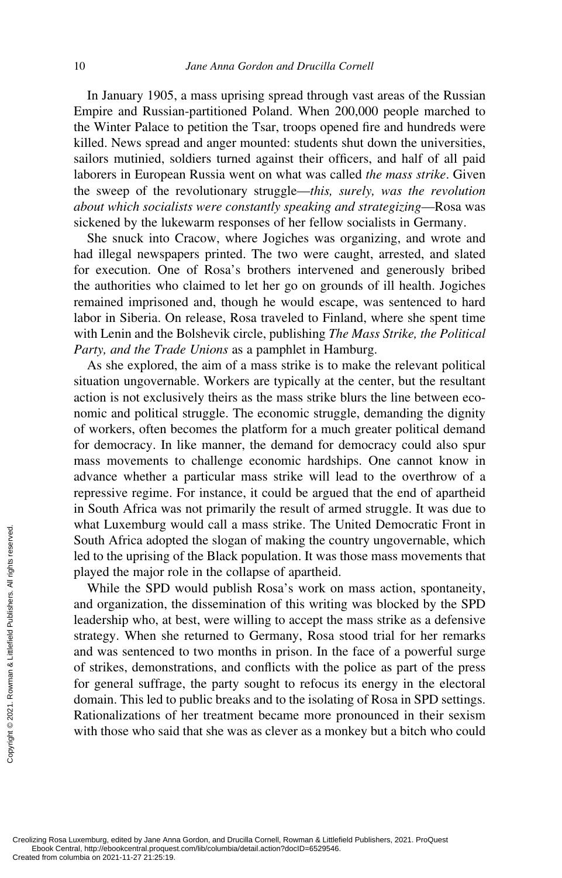In January 1905, a mass uprising spread through vast areas of the Russian Empire and Russian-partitioned Poland. When 200,000 people marched to the Winter Palace to petition the Tsar, troops opened fire and hundreds were killed. News spread and anger mounted: students shut down the universities, sailors mutinied, soldiers turned against their officers, and half of all paid laborers in European Russia went on what was called *the mass strike*. Given the sweep of the revolutionary struggle—*this, surely, was the revolution about which socialists were constantly speaking and strategizing*—Rosa was sickened by the lukewarm responses of her fellow socialists in Germany.

She snuck into Cracow, where Jogiches was organizing, and wrote and had illegal newspapers printed. The two were caught, arrested, and slated for execution. One of Rosa's brothers intervened and generously bribed the authorities who claimed to let her go on grounds of ill health. Jogiches remained imprisoned and, though he would escape, was sentenced to hard labor in Siberia. On release, Rosa traveled to Finland, where she spent time with Lenin and the Bolshevik circle, publishing *The Mass Strike, the Political Party, and the Trade Unions* as a pamphlet in Hamburg.

As she explored, the aim of a mass strike is to make the relevant political situation ungovernable. Workers are typically at the center, but the resultant action is not exclusively theirs as the mass strike blurs the line between economic and political struggle. The economic struggle, demanding the dignity of workers, often becomes the platform for a much greater political demand for democracy. In like manner, the demand for democracy could also spur mass movements to challenge economic hardships. One cannot know in advance whether a particular mass strike will lead to the overthrow of a repressive regime. For instance, it could be argued that the end of apartheid in South Africa was not primarily the result of armed struggle. It was due to what Luxemburg would call a mass strike. The United Democratic Front in South Africa adopted the slogan of making the country ungovernable, which led to the uprising of the Black population. It was those mass movements that played the major role in the collapse of apartheid.

While the SPD would publish Rosa's work on mass action, spontaneity, and organization, the dissemination of this writing was blocked by the SPD leadership who, at best, were willing to accept the mass strike as a defensive strategy. When she returned to Germany, Rosa stood trial for her remarks and was sentenced to two months in prison. In the face of a powerful surge of strikes, demonstrations, and conflicts with the police as part of the press for general suffrage, the party sought to refocus its energy in the electoral domain. This led to public breaks and to the isolating of Rosa in SPD settings. Rationalizations of her treatment became more pronounced in their sexism with those who said that she was as clever as a monkey but a bitch who could What Euxemburg v<br>
South Africa adopt<br>
led to the uprising<br>
played the major r<br>
While the SPD<br>
and organization, t<br>
leadership who, at<br>
strategy. When she<br>
and was sentenced<br>
of strikes, demonst<br>
for general suffrage<br>
doma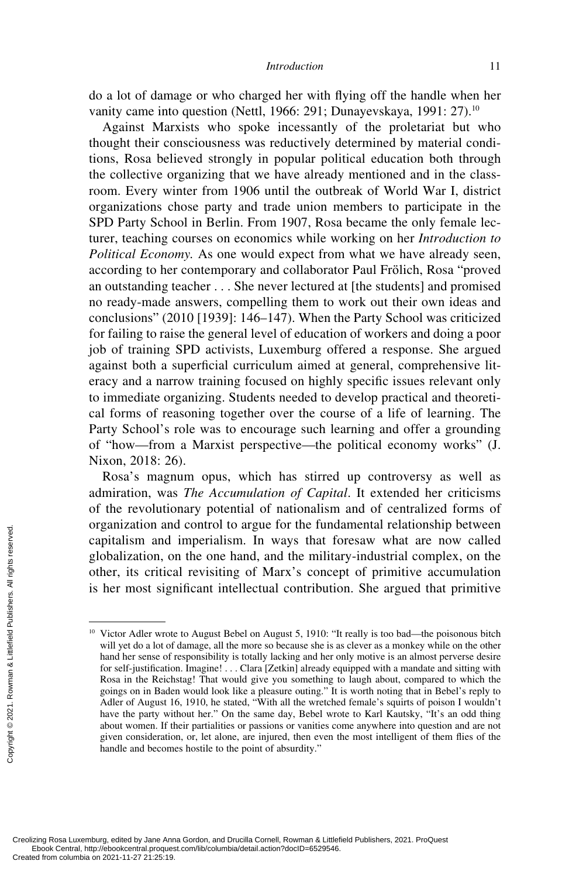do a lot of damage or who charged her with flying off the handle when her vanity came into question (Nettl, 1966: 291; Dunayevskaya, 1991: 27).<sup>10</sup>

Against Marxists who spoke incessantly of the proletariat but who thought their consciousness was reductively determined by material conditions, Rosa believed strongly in popular political education both through the collective organizing that we have already mentioned and in the classroom. Every winter from 1906 until the outbreak of World War I, district organizations chose party and trade union members to participate in the SPD Party School in Berlin. From 1907, Rosa became the only female lecturer, teaching courses on economics while working on her *Introduction to Political Economy.* As one would expect from what we have already seen, according to her contemporary and collaborator Paul Frölich, Rosa "proved an outstanding teacher . . . She never lectured at [the students] and promised no ready-made answers, compelling them to work out their own ideas and conclusions" (2010 [1939]: 146–147). When the Party School was criticized for failing to raise the general level of education of workers and doing a poor job of training SPD activists, Luxemburg offered a response. She argued against both a superficial curriculum aimed at general, comprehensive literacy and a narrow training focused on highly specific issues relevant only to immediate organizing. Students needed to develop practical and theoretical forms of reasoning together over the course of a life of learning. The Party School's role was to encourage such learning and offer a grounding of "how—from a Marxist perspective—the political economy works" (J. Nixon, 2018: 26).

Rosa's magnum opus, which has stirred up controversy as well as admiration, was *The Accumulation of Capital*. It extended her criticisms of the revolutionary potential of nationalism and of centralized forms of organization and control to argue for the fundamental relationship between capitalism and imperialism. In ways that foresaw what are now called globalization, on the one hand, and the military-industrial complex, on the other, its critical revisiting of Marx's concept of primitive accumulation is her most significant intellectual contribution. She argued that primitive

<sup>&</sup>lt;sup>10</sup> Victor Adler wrote to August Bebel on August 5, 1910: "It really is too bad—the poisonous bitch will yet do a lot of damage, all the more so because she is as clever as a monkey while on the other hand her sense of responsibility is totally lacking and her only motive is an almost perverse desire for self-justification. Imagine! . . . Clara [Zetkin] already equipped with a mandate and sitting with Rosa in the Reichstag! That would give you something to laugh about, compared to which the goings on in Baden would look like a pleasure outing." It is worth noting that in Bebel's reply to Adler of August 16, 1910, he stated, "With all the wretched female's squirts of poison I wouldn't have the party without her." On the same day, Bebel wrote to Karl Kautsky, "It's an odd thing about women. If their partialities or passions or vanities come anywhere into question and are not given consideration, or, let alone, are injured, then even the most intelligent of them flies of the handle and becomes hostile to the point of absurdity.' Created from columbia on 2021-11-27 21:25:19.<br>Created from columbia on 2021-11-27 21:25:19.<br>Created from columbia on 2021-11-27 21:25:19.<br>Created from columbia on 2021-11-27 21:25:19.<br>Created from columbia on 2021-11-27 2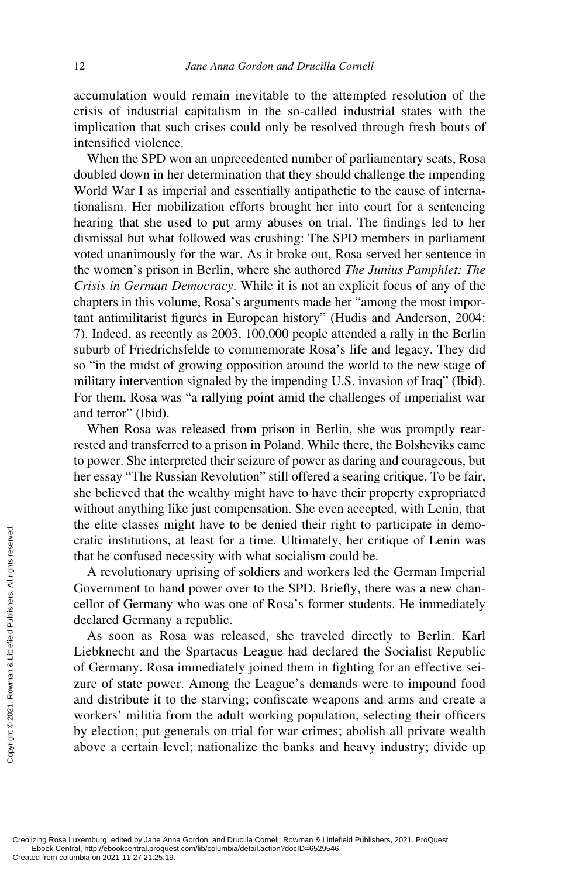accumulation would remain inevitable to the attempted resolution of the crisis of industrial capitalism in the so-called industrial states with the implication that such crises could only be resolved through fresh bouts of intensified violence.

When the SPD won an unprecedented number of parliamentary seats, Rosa doubled down in her determination that they should challenge the impending World War I as imperial and essentially antipathetic to the cause of internationalism. Her mobilization efforts brought her into court for a sentencing hearing that she used to put army abuses on trial. The findings led to her dismissal but what followed was crushing: The SPD members in parliament voted unanimously for the war. As it broke out, Rosa served her sentence in the women's prison in Berlin, where she authored *The Junius Pamphlet: The Crisis in German Democracy*. While it is not an explicit focus of any of the chapters in this volume, Rosa's arguments made her "among the most important antimilitarist figures in European history" (Hudis and Anderson, 2004: 7). Indeed, as recently as 2003, 100,000 people attended a rally in the Berlin suburb of Friedrichsfelde to commemorate Rosa's life and legacy. They did so "in the midst of growing opposition around the world to the new stage of military intervention signaled by the impending U.S. invasion of Iraq" (Ibid). For them, Rosa was "a rallying point amid the challenges of imperialist war and terror" (Ibid).

When Rosa was released from prison in Berlin, she was promptly rearrested and transferred to a prison in Poland. While there, the Bolsheviks came to power. She interpreted their seizure of power as daring and courageous, but her essay "The Russian Revolution" still offered a searing critique. To be fair, she believed that the wealthy might have to have their property expropriated without anything like just compensation. She even accepted, with Lenin, that the elite classes might have to be denied their right to participate in democratic institutions, at least for a time. Ultimately, her critique of Lenin was that he confused necessity with what socialism could be.

A revolutionary uprising of soldiers and workers led the German Imperial Government to hand power over to the SPD. Briefly, there was a new chancellor of Germany who was one of Rosa's former students. He immediately declared Germany a republic.

As soon as Rosa was released, she traveled directly to Berlin. Karl Liebknecht and the Spartacus League had declared the Socialist Republic of Germany. Rosa immediately joined them in fighting for an effective seizure of state power. Among the League's demands were to impound food and distribute it to the starving; confiscate weapons and arms and create a workers' militia from the adult working population, selecting their officers by election; put generals on trial for war crimes; abolish all private wealth above a certain level; nationalize the banks and heavy industry; divide up Exerces and the confused from columbia on 2021-11-27 21:25:19.<br>Created from columbia on 2021-11-27 21:25:19.<br>Created from columbia on 2021-11-27 21:25:19.<br>Created from columbia on 2021-11-27 21:25:19.<br>Created from columbi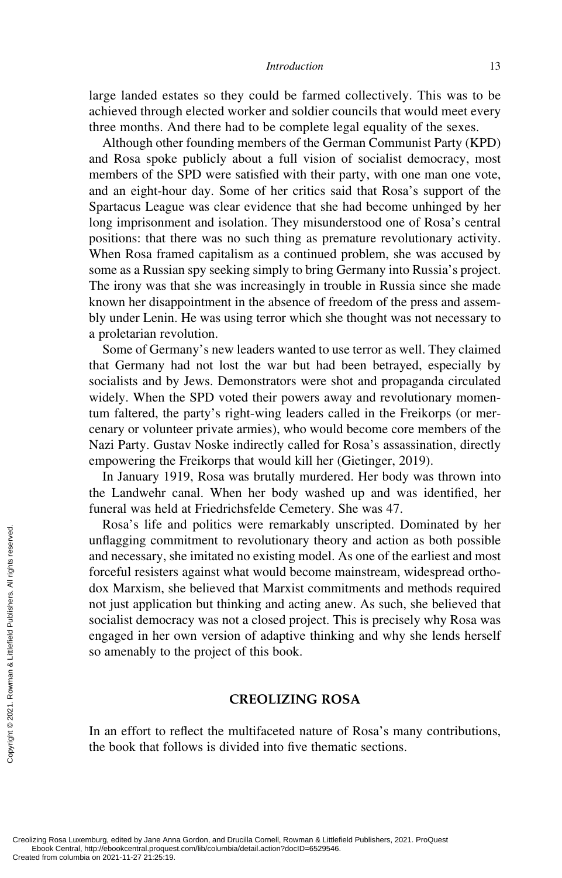large landed estates so they could be farmed collectively. This was to be achieved through elected worker and soldier councils that would meet every three months. And there had to be complete legal equality of the sexes.

Although other founding members of the German Communist Party (KPD) and Rosa spoke publicly about a full vision of socialist democracy, most members of the SPD were satisfied with their party, with one man one vote, and an eight-hour day. Some of her critics said that Rosa's support of the Spartacus League was clear evidence that she had become unhinged by her long imprisonment and isolation. They misunderstood one of Rosa's central positions: that there was no such thing as premature revolutionary activity. When Rosa framed capitalism as a continued problem, she was accused by some as a Russian spy seeking simply to bring Germany into Russia's project. The irony was that she was increasingly in trouble in Russia since she made known her disappointment in the absence of freedom of the press and assembly under Lenin. He was using terror which she thought was not necessary to a proletarian revolution.

Some of Germany's new leaders wanted to use terror as well. They claimed that Germany had not lost the war but had been betrayed, especially by socialists and by Jews. Demonstrators were shot and propaganda circulated widely. When the SPD voted their powers away and revolutionary momentum faltered, the party's right-wing leaders called in the Freikorps (or mercenary or volunteer private armies), who would become core members of the Nazi Party. Gustav Noske indirectly called for Rosa's assassination, directly empowering the Freikorps that would kill her (Gietinger, 2019).

In January 1919, Rosa was brutally murdered. Her body was thrown into the Landwehr canal. When her body washed up and was identified, her funeral was held at Friedrichsfelde Cemetery. She was 47.

Rosa's life and politics were remarkably unscripted. Dominated by her unflagging commitment to revolutionary theory and action as both possible and necessary, she imitated no existing model. As one of the earliest and most forceful resisters against what would become mainstream, widespread orthodox Marxism, she believed that Marxist commitments and methods required not just application but thinking and acting anew. As such, she believed that socialist democracy was not a closed project. This is precisely why Rosa was engaged in her own version of adaptive thinking and why she lends herself so amenably to the project of this book. Example and necessary, since and necessary, since and necessary, since and necessary, since  $\frac{1}{2}$  dox Marxism, sl<br>not just applicated socialist democre<br>engaged in her oso amenably to interest of the book that for the b

## **CREOLIZING ROSA**

In an effort to reflect the multifaceted nature of Rosa's many contributions, the book that follows is divided into five thematic sections.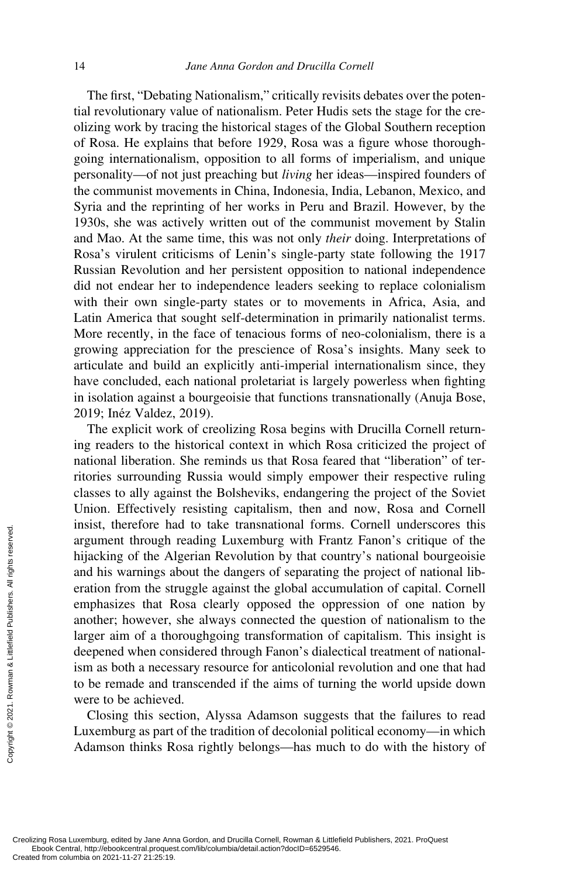The first, "Debating Nationalism," critically revisits debates over the potential revolutionary value of nationalism. Peter Hudis sets the stage for the creolizing work by tracing the historical stages of the Global Southern reception of Rosa. He explains that before 1929, Rosa was a figure whose thoroughgoing internationalism, opposition to all forms of imperialism, and unique personality—of not just preaching but *living* her ideas—inspired founders of the communist movements in China, Indonesia, India, Lebanon, Mexico, and Syria and the reprinting of her works in Peru and Brazil. However, by the 1930s, she was actively written out of the communist movement by Stalin and Mao. At the same time, this was not only *their* doing. Interpretations of Rosa's virulent criticisms of Lenin's single-party state following the 1917 Russian Revolution and her persistent opposition to national independence did not endear her to independence leaders seeking to replace colonialism with their own single-party states or to movements in Africa, Asia, and Latin America that sought self-determination in primarily nationalist terms. More recently, in the face of tenacious forms of neo-colonialism, there is a growing appreciation for the prescience of Rosa's insights. Many seek to articulate and build an explicitly anti-imperial internationalism since, they have concluded, each national proletariat is largely powerless when fighting in isolation against a bourgeoisie that functions transnationally (Anuja Bose, 2019; Inéz Valdez, 2019).

The explicit work of creolizing Rosa begins with Drucilla Cornell returning readers to the historical context in which Rosa criticized the project of national liberation. She reminds us that Rosa feared that "liberation" of territories surrounding Russia would simply empower their respective ruling classes to ally against the Bolsheviks, endangering the project of the Soviet Union. Effectively resisting capitalism, then and now, Rosa and Cornell insist, therefore had to take transnational forms. Cornell underscores this argument through reading Luxemburg with Frantz Fanon's critique of the hijacking of the Algerian Revolution by that country's national bourgeoisie and his warnings about the dangers of separating the project of national liberation from the struggle against the global accumulation of capital. Cornell emphasizes that Rosa clearly opposed the oppression of one nation by another; however, she always connected the question of nationalism to the larger aim of a thoroughgoing transformation of capitalism. This insight is deepened when considered through Fanon's dialectical treatment of nationalism as both a necessary resource for anticolonial revolution and one that had to be remade and transcended if the aims of turning the world upside down were to be achieved. Example the deepened when conducted from columbia on 2021-11-27 21:25:19.<br>Created from columbia on 2021-11-27 21:25:19.<br>Created from columbia on 2021-11-27 21:25:19.

Closing this section, Alyssa Adamson suggests that the failures to read Luxemburg as part of the tradition of decolonial political economy—in which Adamson thinks Rosa rightly belongs—has much to do with the history of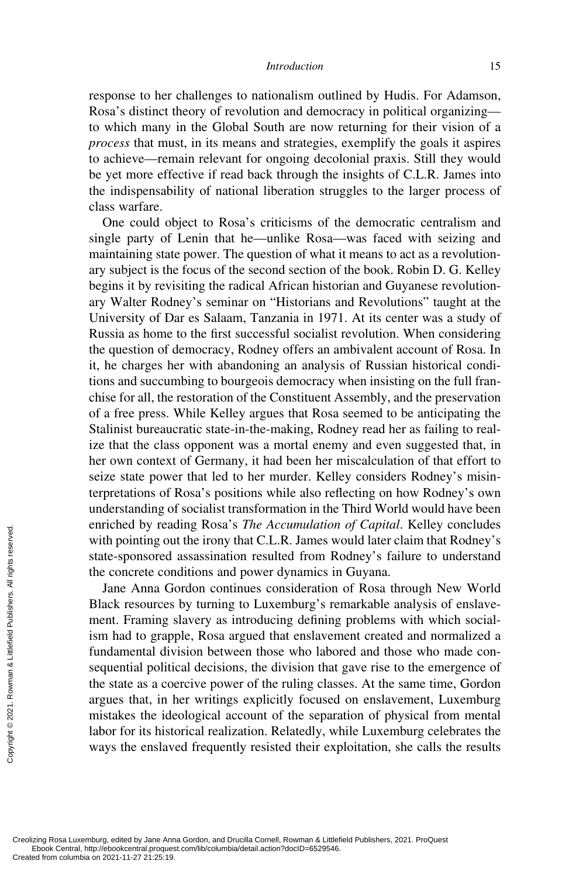response to her challenges to nationalism outlined by Hudis. For Adamson, Rosa's distinct theory of revolution and democracy in political organizing to which many in the Global South are now returning for their vision of a *process* that must, in its means and strategies, exemplify the goals it aspires to achieve—remain relevant for ongoing decolonial praxis. Still they would be yet more effective if read back through the insights of C.L.R. James into the indispensability of national liberation struggles to the larger process of class warfare.

One could object to Rosa's criticisms of the democratic centralism and single party of Lenin that he—unlike Rosa—was faced with seizing and maintaining state power. The question of what it means to act as a revolutionary subject is the focus of the second section of the book. Robin D. G. Kelley begins it by revisiting the radical African historian and Guyanese revolutionary Walter Rodney's seminar on "Historians and Revolutions" taught at the University of Dar es Salaam, Tanzania in 1971. At its center was a study of Russia as home to the first successful socialist revolution. When considering the question of democracy, Rodney offers an ambivalent account of Rosa. In it, he charges her with abandoning an analysis of Russian historical conditions and succumbing to bourgeois democracy when insisting on the full franchise for all, the restoration of the Constituent Assembly, and the preservation of a free press. While Kelley argues that Rosa seemed to be anticipating the Stalinist bureaucratic state-in-the-making, Rodney read her as failing to realize that the class opponent was a mortal enemy and even suggested that, in her own context of Germany, it had been her miscalculation of that effort to seize state power that led to her murder. Kelley considers Rodney's misinterpretations of Rosa's positions while also reflecting on how Rodney's own understanding of socialist transformation in the Third World would have been enriched by reading Rosa's *The Accumulation of Capital*. Kelley concludes with pointing out the irony that C.L.R. James would later claim that Rodney's state-sponsored assassination resulted from Rodney's failure to understand the concrete conditions and power dynamics in Guyana.

Jane Anna Gordon continues consideration of Rosa through New World Black resources by turning to Luxemburg's remarkable analysis of enslavement. Framing slavery as introducing defining problems with which socialism had to grapple, Rosa argued that enslavement created and normalized a fundamental division between those who labored and those who made consequential political decisions, the division that gave rise to the emergence of the state as a coercive power of the ruling classes. At the same time, Gordon argues that, in her writings explicitly focused on enslavement, Luxemburg mistakes the ideological account of the separation of physical from mental labor for its historical realization. Relatedly, while Luxemburg celebrates the ways the enslaved frequently resisted their exploitation, she calls the results Exerces in the concrete comparison of the concrete comparison of the concrete comparison of the concrete comparison and to grap fundamental div sequential political political Publishers. All rights reserved from columbia o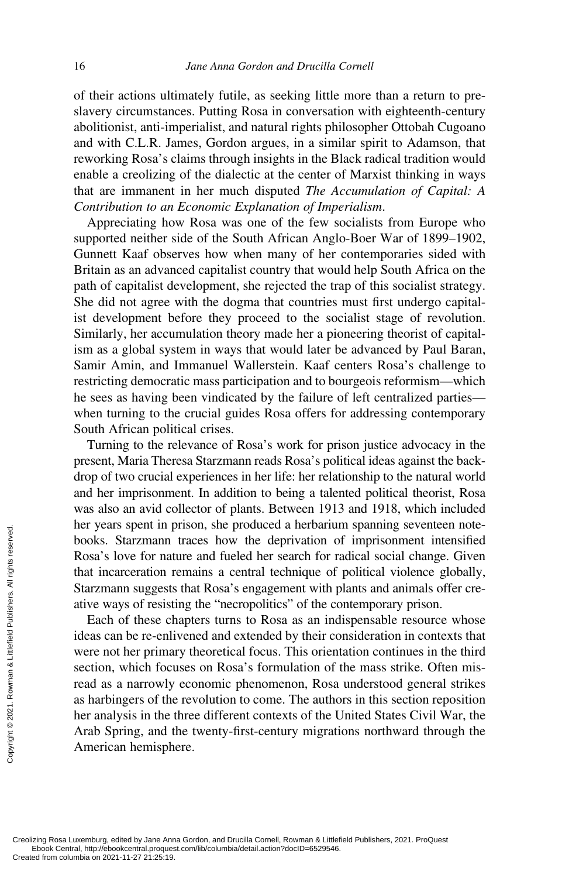of their actions ultimately futile, as seeking little more than a return to preslavery circumstances. Putting Rosa in conversation with eighteenth-century abolitionist, anti-imperialist, and natural rights philosopher Ottobah Cugoano and with C.L.R. James, Gordon argues, in a similar spirit to Adamson, that reworking Rosa's claims through insights in the Black radical tradition would enable a creolizing of the dialectic at the center of Marxist thinking in ways that are immanent in her much disputed *The Accumulation of Capital: A Contribution to an Economic Explanation of Imperialism*.

Appreciating how Rosa was one of the few socialists from Europe who supported neither side of the South African Anglo-Boer War of 1899–1902, Gunnett Kaaf observes how when many of her contemporaries sided with Britain as an advanced capitalist country that would help South Africa on the path of capitalist development, she rejected the trap of this socialist strategy. She did not agree with the dogma that countries must first undergo capitalist development before they proceed to the socialist stage of revolution. Similarly, her accumulation theory made her a pioneering theorist of capitalism as a global system in ways that would later be advanced by Paul Baran, Samir Amin, and Immanuel Wallerstein. Kaaf centers Rosa's challenge to restricting democratic mass participation and to bourgeois reformism—which he sees as having been vindicated by the failure of left centralized parties when turning to the crucial guides Rosa offers for addressing contemporary South African political crises.

Turning to the relevance of Rosa's work for prison justice advocacy in the present, Maria Theresa Starzmann reads Rosa's political ideas against the backdrop of two crucial experiences in her life: her relationship to the natural world and her imprisonment. In addition to being a talented political theorist, Rosa was also an avid collector of plants. Between 1913 and 1918, which included her years spent in prison, she produced a herbarium spanning seventeen notebooks. Starzmann traces how the deprivation of imprisonment intensified Rosa's love for nature and fueled her search for radical social change. Given that incarceration remains a central technique of political violence globally, Starzmann suggests that Rosa's engagement with plants and animals offer creative ways of resisting the "necropolitics" of the contemporary prison.

Each of these chapters turns to Rosa as an indispensable resource whose ideas can be re-enlivened and extended by their consideration in contexts that were not her primary theoretical focus. This orientation continues in the third section, which focuses on Rosa's formulation of the mass strike. Often misread as a narrowly economic phenomenon, Rosa understood general strikes as harbingers of the revolution to come. The authors in this section reposition her analysis in the three different contexts of the United States Civil War, the Arab Spring, and the twenty-first-century migrations northward through the American hemisphere. From Creating Screen Created from columbia on 2021-11-27 21:25:19.<br>Creating Rosa Luxemburg, edited by Jane Andre Created from columbia on 2021-11-27 21:25:19.<br>Creation columbia on 2021-11-27 21:25:19.<br>Creation columbia on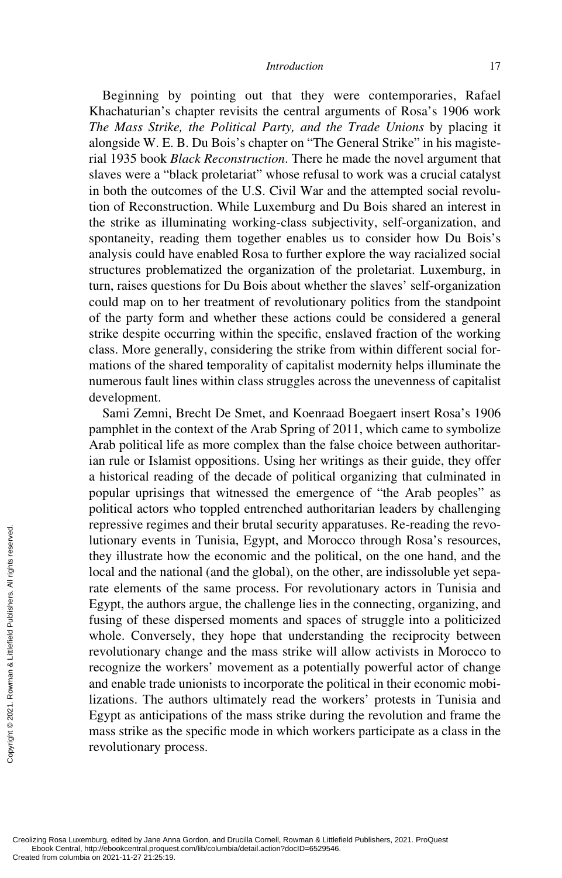Beginning by pointing out that they were contemporaries, Rafael Khachaturian's chapter revisits the central arguments of Rosa's 1906 work *The Mass Strike, the Political Party, and the Trade Unions* by placing it alongside W. E. B. Du Bois's chapter on "The General Strike" in his magisterial 1935 book *Black Reconstruction*. There he made the novel argument that slaves were a "black proletariat" whose refusal to work was a crucial catalyst in both the outcomes of the U.S. Civil War and the attempted social revolution of Reconstruction. While Luxemburg and Du Bois shared an interest in the strike as illuminating working-class subjectivity, self-organization, and spontaneity, reading them together enables us to consider how Du Bois's analysis could have enabled Rosa to further explore the way racialized social structures problematized the organization of the proletariat. Luxemburg, in turn, raises questions for Du Bois about whether the slaves' self-organization could map on to her treatment of revolutionary politics from the standpoint of the party form and whether these actions could be considered a general strike despite occurring within the specific, enslaved fraction of the working class. More generally, considering the strike from within different social formations of the shared temporality of capitalist modernity helps illuminate the numerous fault lines within class struggles across the unevenness of capitalist development.

Sami Zemni, Brecht De Smet, and Koenraad Boegaert insert Rosa's 1906 pamphlet in the context of the Arab Spring of 2011, which came to symbolize Arab political life as more complex than the false choice between authoritarian rule or Islamist oppositions. Using her writings as their guide, they offer a historical reading of the decade of political organizing that culminated in popular uprisings that witnessed the emergence of "the Arab peoples" as political actors who toppled entrenched authoritarian leaders by challenging repressive regimes and their brutal security apparatuses. Re-reading the revolutionary events in Tunisia, Egypt, and Morocco through Rosa's resources, they illustrate how the economic and the political, on the one hand, and the local and the national (and the global), on the other, are indissoluble yet separate elements of the same process. For revolutionary actors in Tunisia and Egypt, the authors argue, the challenge lies in the connecting, organizing, and fusing of these dispersed moments and spaces of struggle into a politicized whole. Conversely, they hope that understanding the reciprocity between revolutionary change and the mass strike will allow activists in Morocco to recognize the workers' movement as a potentially powerful actor of change and enable trade unionists to incorporate the political in their economic mobilizations. The authors ultimately read the workers' protests in Tunisia and Egypt as anticipations of the mass strike during the revolution and frame the mass strike as the specific mode in which workers participate as a class in the revolutionary process. Example the price of the state of the state of the state of the state of the state of the state of the state of the state of the state of the state of the state of the state of the state of the state of the state of the s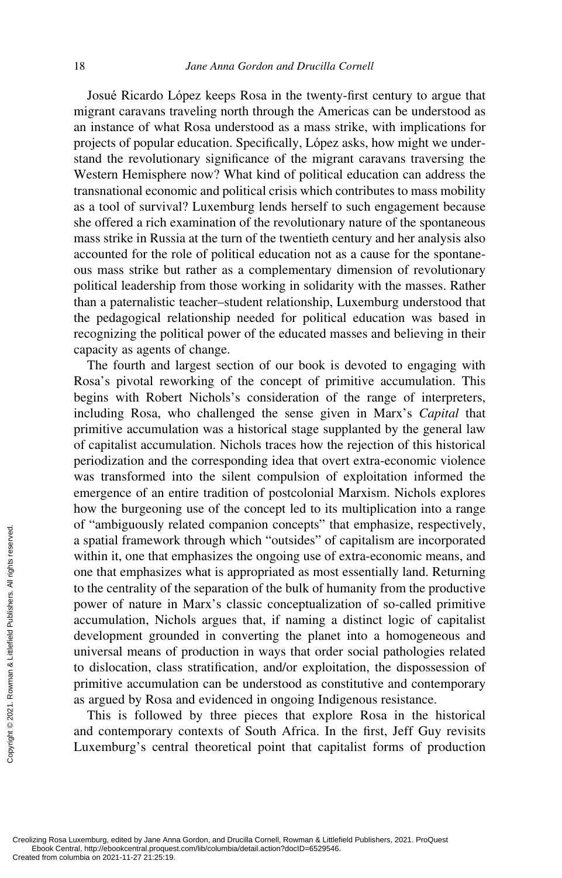Josué Ricardo López keeps Rosa in the twenty-first century to argue that migrant caravans traveling north through the Americas can be understood as an instance of what Rosa understood as a mass strike, with implications for projects of popular education. Specifically, López asks, how might we understand the revolutionary significance of the migrant caravans traversing the Western Hemisphere now? What kind of political education can address the transnational economic and political crisis which contributes to mass mobility as a tool of survival? Luxemburg lends herself to such engagement because she offered a rich examination of the revolutionary nature of the spontaneous mass strike in Russia at the turn of the twentieth century and her analysis also accounted for the role of political education not as a cause for the spontaneous mass strike but rather as a complementary dimension of revolutionary political leadership from those working in solidarity with the masses. Rather than a paternalistic teacher–student relationship, Luxemburg understood that the pedagogical relationship needed for political education was based in recognizing the political power of the educated masses and believing in their capacity as agents of change.

The fourth and largest section of our book is devoted to engaging with Rosa's pivotal reworking of the concept of primitive accumulation. This begins with Robert Nichols's consideration of the range of interpreters, including Rosa, who challenged the sense given in Marx's *Capital* that primitive accumulation was a historical stage supplanted by the general law of capitalist accumulation. Nichols traces how the rejection of this historical periodization and the corresponding idea that overt extra-economic violence was transformed into the silent compulsion of exploitation informed the emergence of an entire tradition of postcolonial Marxism. Nichols explores how the burgeoning use of the concept led to its multiplication into a range of "ambiguously related companion concepts" that emphasize, respectively, a spatial framework through which "outsides" of capitalism are incorporated within it, one that emphasizes the ongoing use of extra-economic means, and one that emphasizes what is appropriated as most essentially land. Returning to the centrality of the separation of the bulk of humanity from the productive power of nature in Marx's classic conceptualization of so-called primitive accumulation, Nichols argues that, if naming a distinct logic of capitalist development grounded in converting the planet into a homogeneous and universal means of production in ways that order social pathologies related to dislocation, class stratification, and/or exploitation, the dispossession of primitive accumulation can be understood as constitutive and contemporary as argued by Rosa and evidenced in ongoing Indigenous resistance. Creating Rosa Luxemburg, edited by Jane Andreated from columbia on 2021-11-27 21:25:19.<br>Creation columbia on 2021-11-27 21:25:19.<br>Creation columbia on 2021-11-27 21:25:19.

This is followed by three pieces that explore Rosa in the historical and contemporary contexts of South Africa. In the first, Jeff Guy revisits Luxemburg's central theoretical point that capitalist forms of production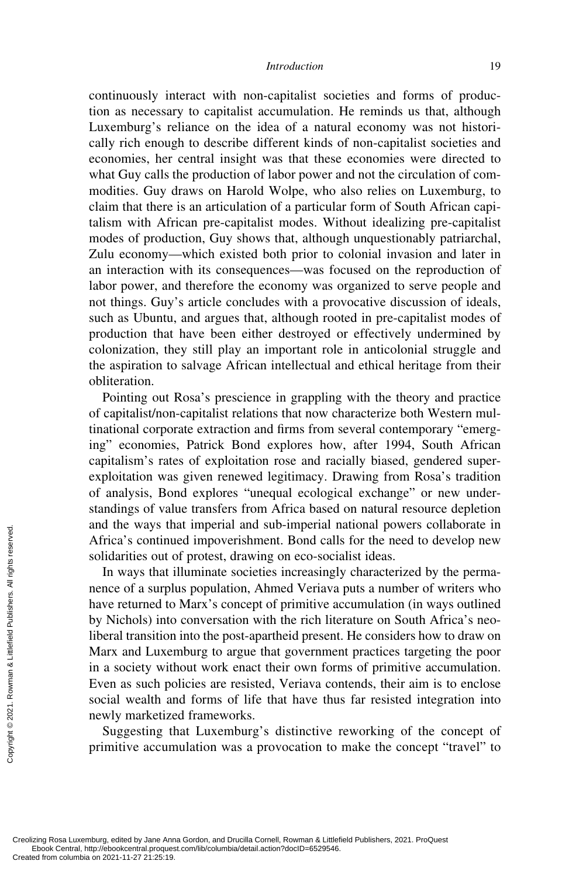continuously interact with non-capitalist societies and forms of production as necessary to capitalist accumulation. He reminds us that, although Luxemburg's reliance on the idea of a natural economy was not historically rich enough to describe different kinds of non-capitalist societies and economies, her central insight was that these economies were directed to what Guy calls the production of labor power and not the circulation of commodities. Guy draws on Harold Wolpe, who also relies on Luxemburg, to claim that there is an articulation of a particular form of South African capitalism with African pre-capitalist modes. Without idealizing pre-capitalist modes of production, Guy shows that, although unquestionably patriarchal, Zulu economy—which existed both prior to colonial invasion and later in an interaction with its consequences—was focused on the reproduction of labor power, and therefore the economy was organized to serve people and not things. Guy's article concludes with a provocative discussion of ideals, such as Ubuntu, and argues that, although rooted in pre-capitalist modes of production that have been either destroyed or effectively undermined by colonization, they still play an important role in anticolonial struggle and the aspiration to salvage African intellectual and ethical heritage from their obliteration.

Pointing out Rosa's prescience in grappling with the theory and practice of capitalist/non-capitalist relations that now characterize both Western multinational corporate extraction and firms from several contemporary "emerging" economies, Patrick Bond explores how, after 1994, South African capitalism's rates of exploitation rose and racially biased, gendered superexploitation was given renewed legitimacy. Drawing from Rosa's tradition of analysis, Bond explores "unequal ecological exchange" or new understandings of value transfers from Africa based on natural resource depletion and the ways that imperial and sub-imperial national powers collaborate in Africa's continued impoverishment. Bond calls for the need to develop new solidarities out of protest, drawing on eco-socialist ideas.

In ways that illuminate societies increasingly characterized by the permanence of a surplus population, Ahmed Veriava puts a number of writers who have returned to Marx's concept of primitive accumulation (in ways outlined by Nichols) into conversation with the rich literature on South Africa's neoliberal transition into the post-apartheid present. He considers how to draw on Marx and Luxemburg to argue that government practices targeting the poor in a society without work enact their own forms of primitive accumulation. Even as such policies are resisted, Veriava contends, their aim is to enclose social wealth and forms of life that have thus far resisted integration into newly marketized frameworks. Exerces and the ways the Africa's continue solidarities out of the ways that it is a mence of a surple have returned to by Nichols) into liberal transition Marx and Luxer in a society with Even as such position of social w

Suggesting that Luxemburg's distinctive reworking of the concept of primitive accumulation was a provocation to make the concept "travel" to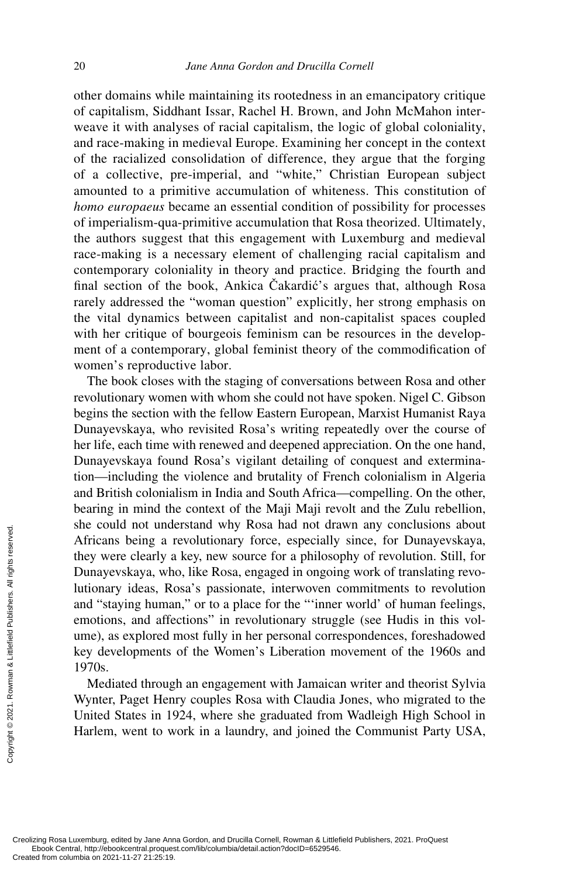other domains while maintaining its rootedness in an emancipatory critique of capitalism, Siddhant Issar, Rachel H. Brown, and John McMahon interweave it with analyses of racial capitalism, the logic of global coloniality, and race-making in medieval Europe. Examining her concept in the context of the racialized consolidation of difference, they argue that the forging of a collective, pre-imperial, and "white," Christian European subject amounted to a primitive accumulation of whiteness. This constitution of *homo europaeus* became an essential condition of possibility for processes of imperialism-qua-primitive accumulation that Rosa theorized. Ultimately, the authors suggest that this engagement with Luxemburg and medieval race-making is a necessary element of challenging racial capitalism and contemporary coloniality in theory and practice. Bridging the fourth and final section of the book, Ankica Čakardić's argues that, although Rosa rarely addressed the "woman question" explicitly, her strong emphasis on the vital dynamics between capitalist and non-capitalist spaces coupled with her critique of bourgeois feminism can be resources in the development of a contemporary, global feminist theory of the commodification of women's reproductive labor.

The book closes with the staging of conversations between Rosa and other revolutionary women with whom she could not have spoken. Nigel C. Gibson begins the section with the fellow Eastern European, Marxist Humanist Raya Dunayevskaya, who revisited Rosa's writing repeatedly over the course of her life, each time with renewed and deepened appreciation. On the one hand, Dunayevskaya found Rosa's vigilant detailing of conquest and extermination—including the violence and brutality of French colonialism in Algeria and British colonialism in India and South Africa—compelling. On the other, bearing in mind the context of the Maji Maji revolt and the Zulu rebellion, she could not understand why Rosa had not drawn any conclusions about Africans being a revolutionary force, especially since, for Dunayevskaya, they were clearly a key, new source for a philosophy of revolution. Still, for Dunayevskaya, who, like Rosa, engaged in ongoing work of translating revolutionary ideas, Rosa's passionate, interwoven commitments to revolution and "staying human," or to a place for the "'inner world' of human feelings, emotions, and affections" in revolutionary struggle (see Hudis in this volume), as explored most fully in her personal correspondences, foreshadowed key developments of the Women's Liberation movement of the 1960s and 1970s. Exerces and the started from columbia on 2021-11-27 21:25:19.<br>Created from columbia on 2021-11-27 21:25:19.<br>Created from columbia on 2021-11-27 21:25:19.<br>Created from columbia on 2021-11-27 21:25:19.

Mediated through an engagement with Jamaican writer and theorist Sylvia Wynter, Paget Henry couples Rosa with Claudia Jones, who migrated to the United States in 1924, where she graduated from Wadleigh High School in Harlem, went to work in a laundry, and joined the Communist Party USA,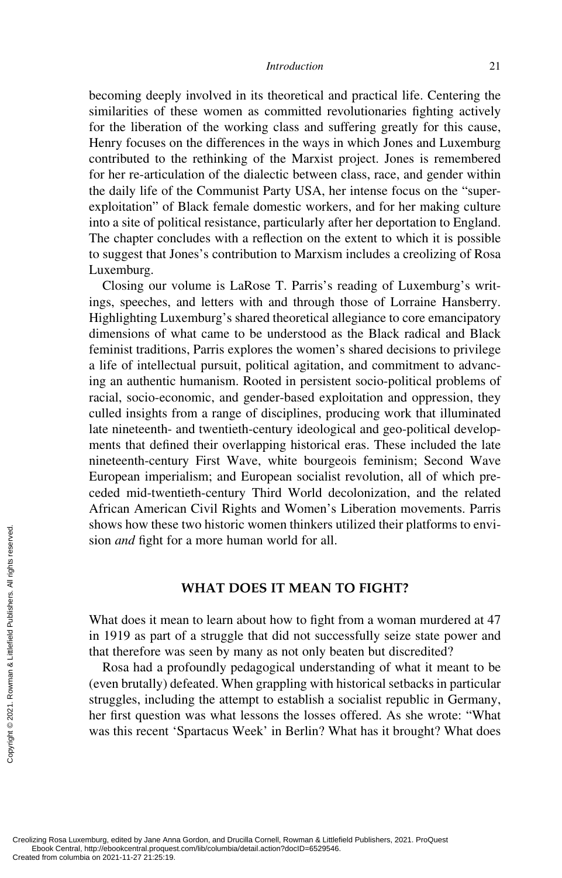becoming deeply involved in its theoretical and practical life. Centering the similarities of these women as committed revolutionaries fighting actively for the liberation of the working class and suffering greatly for this cause, Henry focuses on the differences in the ways in which Jones and Luxemburg contributed to the rethinking of the Marxist project. Jones is remembered for her re-articulation of the dialectic between class, race, and gender within the daily life of the Communist Party USA, her intense focus on the "superexploitation" of Black female domestic workers, and for her making culture into a site of political resistance, particularly after her deportation to England. The chapter concludes with a reflection on the extent to which it is possible to suggest that Jones's contribution to Marxism includes a creolizing of Rosa Luxemburg.

Closing our volume is LaRose T. Parris's reading of Luxemburg's writings, speeches, and letters with and through those of Lorraine Hansberry. Highlighting Luxemburg's shared theoretical allegiance to core emancipatory dimensions of what came to be understood as the Black radical and Black feminist traditions, Parris explores the women's shared decisions to privilege a life of intellectual pursuit, political agitation, and commitment to advancing an authentic humanism. Rooted in persistent socio-political problems of racial, socio-economic, and gender-based exploitation and oppression, they culled insights from a range of disciplines, producing work that illuminated late nineteenth- and twentieth-century ideological and geo-political developments that defined their overlapping historical eras. These included the late nineteenth-century First Wave, white bourgeois feminism; Second Wave European imperialism; and European socialist revolution, all of which preceded mid-twentieth-century Third World decolonization, and the related African American Civil Rights and Women's Liberation movements. Parris shows how these two historic women thinkers utilized their platforms to envision *and* fight for a more human world for all.

## **WHAT DOES IT MEAN TO FIGHT?**

What does it mean to learn about how to fight from a woman murdered at 47 in 1919 as part of a struggle that did not successfully seize state power and that therefore was seen by many as not only beaten but discredited?

Rosa had a profoundly pedagogical understanding of what it meant to be (even brutally) defeated. When grappling with historical setbacks in particular struggles, including the attempt to establish a socialist republic in Germany, her first question was what lessons the losses offered. As she wrote: "What was this recent 'Spartacus Week' in Berlin? What has it brought? What does Example and fight form columbia on 2021-11-27 21:25:19.<br>
Creolizing Rosa Luxemburg, edited by Jane Ann Created from columbia on 2021-11-27 21:25:19.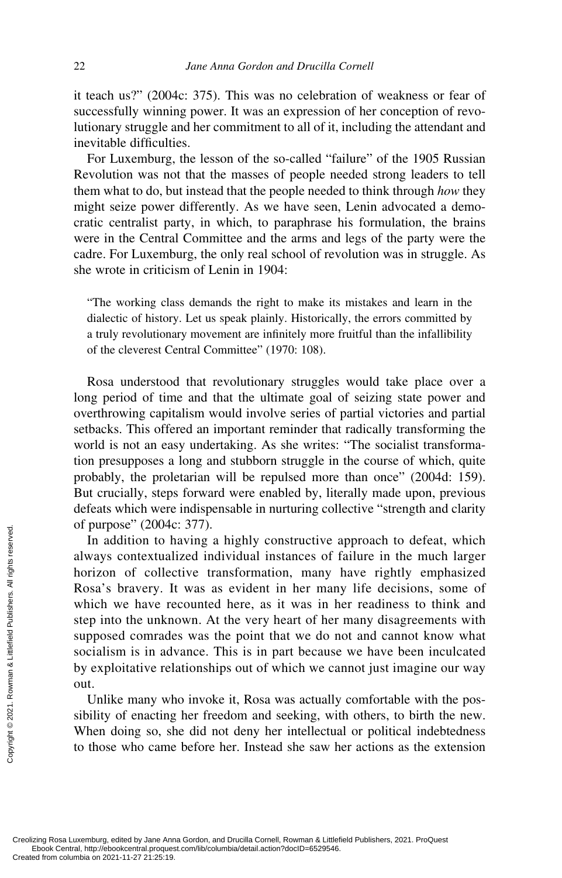it teach us?" (2004c: 375). This was no celebration of weakness or fear of successfully winning power. It was an expression of her conception of revolutionary struggle and her commitment to all of it, including the attendant and inevitable difficulties.

For Luxemburg, the lesson of the so-called "failure" of the 1905 Russian Revolution was not that the masses of people needed strong leaders to tell them what to do, but instead that the people needed to think through *how* they might seize power differently. As we have seen, Lenin advocated a democratic centralist party, in which, to paraphrase his formulation, the brains were in the Central Committee and the arms and legs of the party were the cadre. For Luxemburg, the only real school of revolution was in struggle. As she wrote in criticism of Lenin in 1904:

"The working class demands the right to make its mistakes and learn in the dialectic of history. Let us speak plainly. Historically, the errors committed by a truly revolutionary movement are infinitely more fruitful than the infallibility of the cleverest Central Committee" (1970: 108).

Rosa understood that revolutionary struggles would take place over a long period of time and that the ultimate goal of seizing state power and overthrowing capitalism would involve series of partial victories and partial setbacks. This offered an important reminder that radically transforming the world is not an easy undertaking. As she writes: "The socialist transformation presupposes a long and stubborn struggle in the course of which, quite probably, the proletarian will be repulsed more than once" (2004d: 159). But crucially, steps forward were enabled by, literally made upon, previous defeats which were indispensable in nurturing collective "strength and clarity of purpose" (2004c: 377).

In addition to having a highly constructive approach to defeat, which always contextualized individual instances of failure in the much larger horizon of collective transformation, many have rightly emphasized Rosa's bravery. It was as evident in her many life decisions, some of which we have recounted here, as it was in her readiness to think and step into the unknown. At the very heart of her many disagreements with supposed comrades was the point that we do not and cannot know what socialism is in advance. This is in part because we have been inculcated by exploitative relationships out of which we cannot just imagine our way out. Created from columbia on 2021-11-27 21:25:19.<br>Created from columbia on 2021-11-27 21:25:19.<br>Created from columbia on 2021-11-27 21:25:19.<br>Created from columbia on 2021-11-27 21:25:19.

Unlike many who invoke it, Rosa was actually comfortable with the possibility of enacting her freedom and seeking, with others, to birth the new. When doing so, she did not deny her intellectual or political indebtedness to those who came before her. Instead she saw her actions as the extension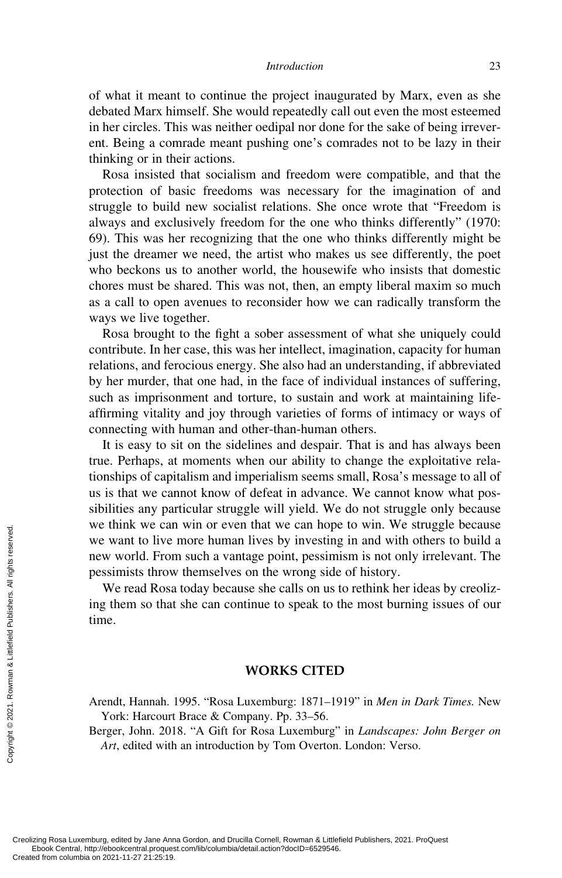of what it meant to continue the project inaugurated by Marx, even as she debated Marx himself. She would repeatedly call out even the most esteemed in her circles. This was neither oedipal nor done for the sake of being irreverent. Being a comrade meant pushing one's comrades not to be lazy in their thinking or in their actions.

Rosa insisted that socialism and freedom were compatible, and that the protection of basic freedoms was necessary for the imagination of and struggle to build new socialist relations. She once wrote that "Freedom is always and exclusively freedom for the one who thinks differently" (1970: 69). This was her recognizing that the one who thinks differently might be just the dreamer we need, the artist who makes us see differently, the poet who beckons us to another world, the housewife who insists that domestic chores must be shared. This was not, then, an empty liberal maxim so much as a call to open avenues to reconsider how we can radically transform the ways we live together.

Rosa brought to the fight a sober assessment of what she uniquely could contribute. In her case, this was her intellect, imagination, capacity for human relations, and ferocious energy. She also had an understanding, if abbreviated by her murder, that one had, in the face of individual instances of suffering, such as imprisonment and torture, to sustain and work at maintaining lifeaffirming vitality and joy through varieties of forms of intimacy or ways of connecting with human and other-than-human others.

It is easy to sit on the sidelines and despair. That is and has always been true. Perhaps, at moments when our ability to change the exploitative relationships of capitalism and imperialism seems small, Rosa's message to all of us is that we cannot know of defeat in advance. We cannot know what possibilities any particular struggle will yield. We do not struggle only because we think we can win or even that we can hope to win. We struggle because we want to live more human lives by investing in and with others to build a new world. From such a vantage point, pessimism is not only irrelevant. The pessimists throw themselves on the wrong side of history. Exercise the columbia on 2021-11-27 21:25:19.<br>Created from columbia on 2021-11-27 21:25:19.<br>Created from columbia on 2021-11-27 21:25:19.<br>Created from columbia on 2021-11-27 21:25:19.

We read Rosa today because she calls on us to rethink her ideas by creolizing them so that she can continue to speak to the most burning issues of our time.

### **WORKS CITED**

Arendt, Hannah. 1995. "Rosa Luxemburg: 1871–1919" in *Men in Dark Times.* New York: Harcourt Brace & Company. Pp. 33–56.

Berger, John. 2018. "A Gift for Rosa Luxemburg" in *Landscapes: John Berger on Art*, edited with an introduction by Tom Overton. London: Verso.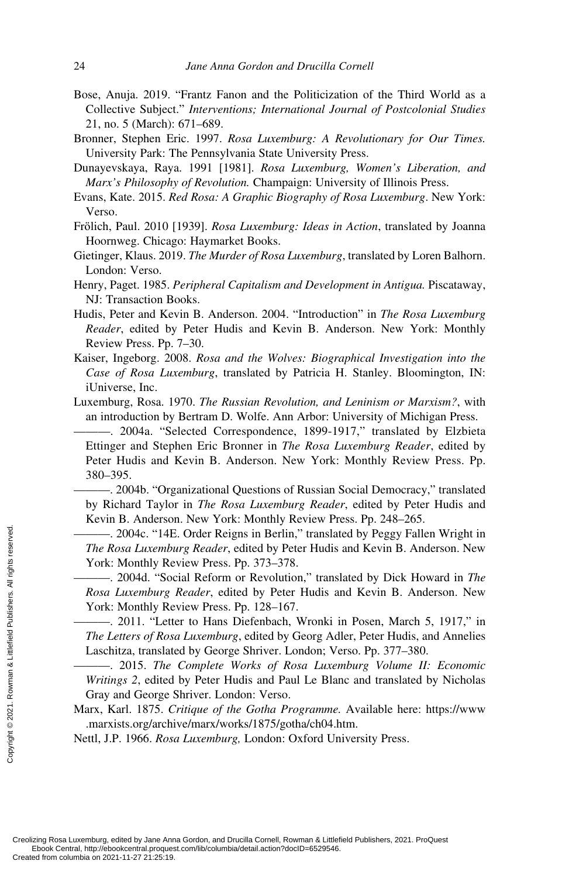- Bose, Anuja. 2019. "Frantz Fanon and the Politicization of the Third World as a Collective Subject." *Interventions; International Journal of Postcolonial Studies* 21, no. 5 (March): 671–689.
- Bronner, Stephen Eric. 1997. *Rosa Luxemburg: A Revolutionary for Our Times.* University Park: The Pennsylvania State University Press.
- Dunayevskaya, Raya. 1991 [1981]. *Rosa Luxemburg, Women's Liberation, and Marx's Philosophy of Revolution.* Champaign: University of Illinois Press.
- Evans, Kate. 2015. *Red Rosa: A Graphic Biography of Rosa Luxemburg*. New York: Verso.
- Frölich, Paul. 2010 [1939]. *Rosa Luxemburg: Ideas in Action*, translated by Joanna Hoornweg. Chicago: Haymarket Books.
- Gietinger, Klaus. 2019. *The Murder of Rosa Luxemburg*, translated by Loren Balhorn. London: Verso.
- Henry, Paget. 1985. *Peripheral Capitalism and Development in Antigua.* Piscataway, NJ: Transaction Books.
- Hudis, Peter and Kevin B. Anderson. 2004. "Introduction" in *The Rosa Luxemburg Reader*, edited by Peter Hudis and Kevin B. Anderson. New York: Monthly Review Press. Pp. 7–30.
- Kaiser, Ingeborg. 2008. *Rosa and the Wolves: Biographical Investigation into the Case of Rosa Luxemburg*, translated by Patricia H. Stanley. Bloomington, IN: iUniverse, Inc.
- Luxemburg, Rosa. 1970. *The Russian Revolution, and Leninism or Marxism?*, with an introduction by Bertram D. Wolfe. Ann Arbor: University of Michigan Press.
	- ———. 2004a. "Selected Correspondence, 1899-1917," translated by Elzbieta Ettinger and Stephen Eric Bronner in *The Rosa Luxemburg Reader*, edited by Peter Hudis and Kevin B. Anderson. New York: Monthly Review Press. Pp. 380–395.

———. 2004b. "Organizational Questions of Russian Social Democracy," translated by Richard Taylor in *The Rosa Luxemburg Reader*, edited by Peter Hudis and Kevin B. Anderson. New York: Monthly Review Press. Pp. 248–265.

———. 2004c. "14E. Order Reigns in Berlin," translated by Peggy Fallen Wright in *The Rosa Luxemburg Reader*, edited by Peter Hudis and Kevin B. Anderson. New York: Monthly Review Press. Pp. 373–378.

———. 2004d. "Social Reform or Revolution," translated by Dick Howard in *The Rosa Luxemburg Reader*, edited by Peter Hudis and Kevin B. Anderson. New York: Monthly Review Press. Pp. 128–167.

———. 2011. "Letter to Hans Diefenbach, Wronki in Posen, March 5, 1917," in *The Letters of Rosa Luxemburg*, edited by Georg Adler, Peter Hudis, and Annelies Laschitza, translated by George Shriver. London; Verso. Pp. 377–380. Exerces From Created from columbia on 2021-11-27 21:25:19.<br>Created from columbia on 2021-11-27 21:25:19.<br>Created from columbia on 2021-11-27 21:25:19.<br>Created from columbia on 2021-11-27 21:25:19.<br>Created from columbia on

———. 2015. *The Complete Works of Rosa Luxemburg Volume II: Economic Writings 2*, edited by Peter Hudis and Paul Le Blanc and translated by Nicholas Gray and George Shriver. London: Verso.

Marx, Karl. 1875. *Critique of the Gotha Programme.* Available here: https://www .marxists.org/archive/marx/works/1875/gotha/ch04.htm.

Nettl, J.P. 1966. *Rosa Luxemburg,* London: Oxford University Press.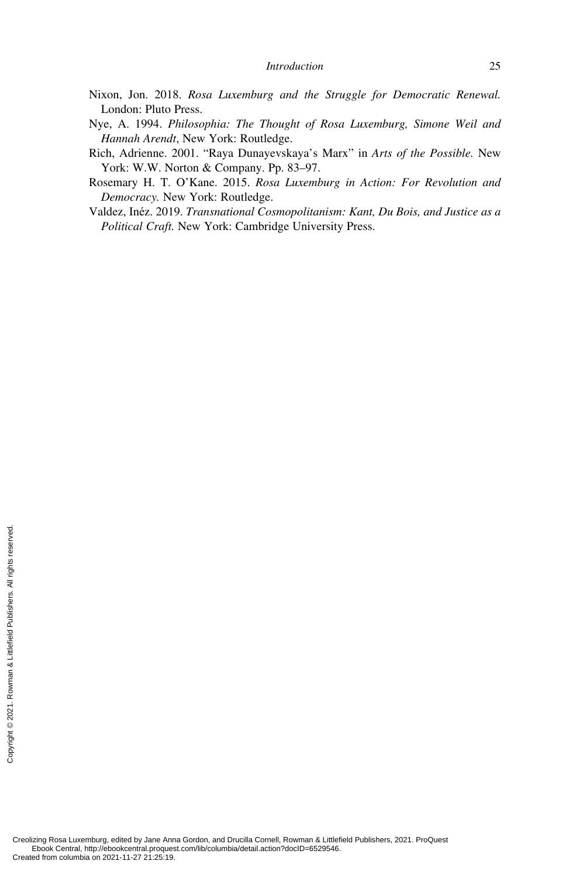- Nixon, Jon. 2018. *Rosa Luxemburg and the Struggle for Democratic Renewal.* London: Pluto Press.
- Nye, A. 1994. *Philosophia: The Thought of Rosa Luxemburg, Simone Weil and Hannah Arendt*, New York: Routledge.
- Rich, Adrienne. 2001. "Raya Dunayevskaya's Marx" in *Arts of the Possible.* New York: W.W. Norton & Company. Pp. 83–97.
- Rosemary H. T. O'Kane. 2015. *Rosa Luxemburg in Action: For Revolution and Democracy.* New York: Routledge.
- Valdez, Inéz. 2019. *Transnational Cosmopolitanism: Kant, Du Bois, and Justice as a Political Craft.* New York: Cambridge University Press.